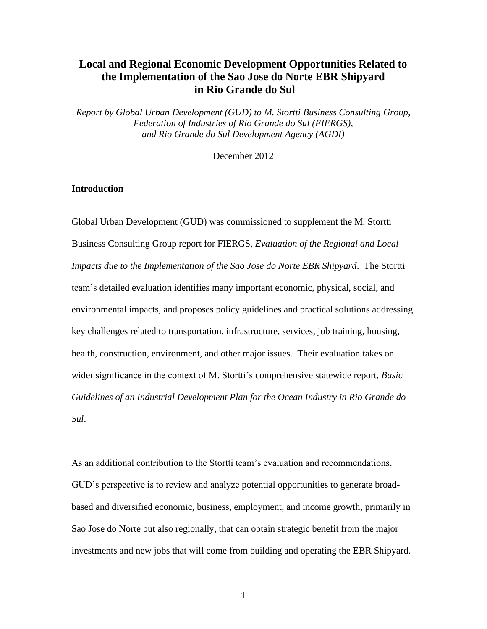# **Local and Regional Economic Development Opportunities Related to the Implementation of the Sao Jose do Norte EBR Shipyard in Rio Grande do Sul**

*Report by Global Urban Development (GUD) to M. Stortti Business Consulting Group, Federation of Industries of Rio Grande do Sul (FIERGS), and Rio Grande do Sul Development Agency (AGDI)*

December 2012

## **Introduction**

Global Urban Development (GUD) was commissioned to supplement the M. Stortti Business Consulting Group report for FIERGS, *Evaluation of the Regional and Local Impacts due to the Implementation of the Sao Jose do Norte EBR Shipyard*. The Stortti team's detailed evaluation identifies many important economic, physical, social, and environmental impacts, and proposes policy guidelines and practical solutions addressing key challenges related to transportation, infrastructure, services, job training, housing, health, construction, environment, and other major issues. Their evaluation takes on wider significance in the context of M. Stortti's comprehensive statewide report, *Basic Guidelines of an Industrial Development Plan for the Ocean Industry in Rio Grande do Sul*.

As an additional contribution to the Stortti team's evaluation and recommendations, GUD's perspective is to review and analyze potential opportunities to generate broadbased and diversified economic, business, employment, and income growth, primarily in Sao Jose do Norte but also regionally, that can obtain strategic benefit from the major investments and new jobs that will come from building and operating the EBR Shipyard.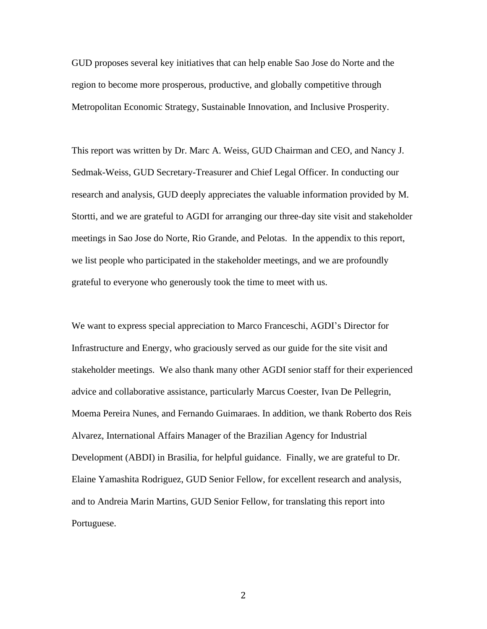GUD proposes several key initiatives that can help enable Sao Jose do Norte and the region to become more prosperous, productive, and globally competitive through Metropolitan Economic Strategy, Sustainable Innovation, and Inclusive Prosperity.

This report was written by Dr. Marc A. Weiss, GUD Chairman and CEO, and Nancy J. Sedmak-Weiss, GUD Secretary-Treasurer and Chief Legal Officer. In conducting our research and analysis, GUD deeply appreciates the valuable information provided by M. Stortti, and we are grateful to AGDI for arranging our three-day site visit and stakeholder meetings in Sao Jose do Norte, Rio Grande, and Pelotas. In the appendix to this report, we list people who participated in the stakeholder meetings, and we are profoundly grateful to everyone who generously took the time to meet with us.

We want to express special appreciation to Marco Franceschi, AGDI's Director for Infrastructure and Energy, who graciously served as our guide for the site visit and stakeholder meetings. We also thank many other AGDI senior staff for their experienced advice and collaborative assistance, particularly Marcus Coester, Ivan De Pellegrin, Moema Pereira Nunes, and Fernando Guimaraes. In addition, we thank Roberto dos Reis Alvarez, International Affairs Manager of the Brazilian Agency for Industrial Development (ABDI) in Brasilia, for helpful guidance. Finally, we are grateful to Dr. Elaine Yamashita Rodriguez, GUD Senior Fellow, for excellent research and analysis, and to Andreia Marin Martins, GUD Senior Fellow, for translating this report into Portuguese.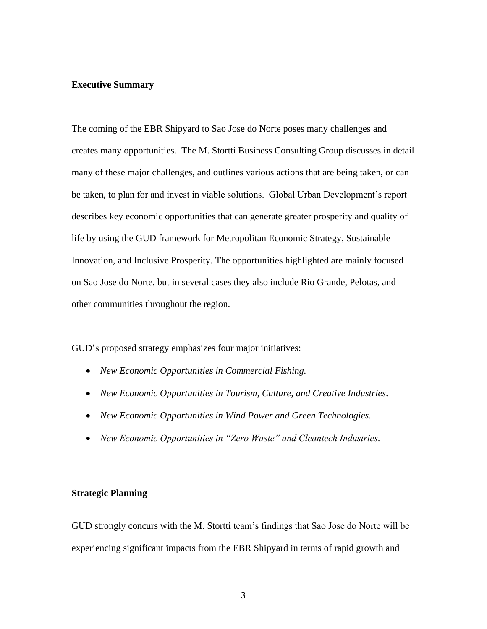#### **Executive Summary**

The coming of the EBR Shipyard to Sao Jose do Norte poses many challenges and creates many opportunities. The M. Stortti Business Consulting Group discusses in detail many of these major challenges, and outlines various actions that are being taken, or can be taken, to plan for and invest in viable solutions. Global Urban Development's report describes key economic opportunities that can generate greater prosperity and quality of life by using the GUD framework for Metropolitan Economic Strategy, Sustainable Innovation, and Inclusive Prosperity. The opportunities highlighted are mainly focused on Sao Jose do Norte, but in several cases they also include Rio Grande, Pelotas, and other communities throughout the region.

GUD's proposed strategy emphasizes four major initiatives:

- *New Economic Opportunities in Commercial Fishing.*
- *New Economic Opportunities in Tourism, Culture, and Creative Industries.*
- *New Economic Opportunities in Wind Power and Green Technologies.*
- *New Economic Opportunities in "Zero Waste" and Cleantech Industries.*

## **Strategic Planning**

GUD strongly concurs with the M. Stortti team's findings that Sao Jose do Norte will be experiencing significant impacts from the EBR Shipyard in terms of rapid growth and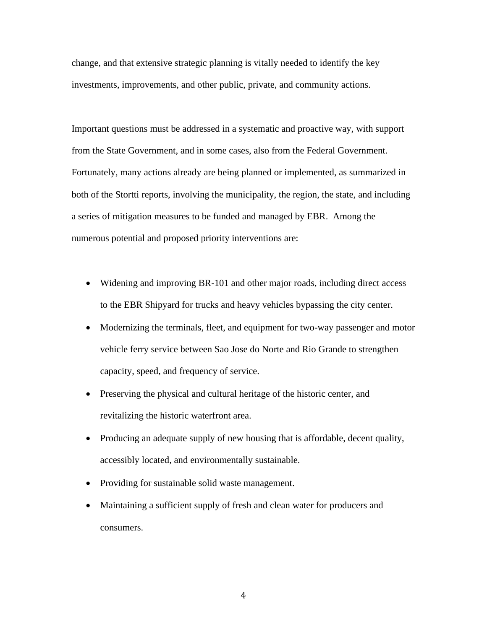change, and that extensive strategic planning is vitally needed to identify the key investments, improvements, and other public, private, and community actions.

Important questions must be addressed in a systematic and proactive way, with support from the State Government, and in some cases, also from the Federal Government. Fortunately, many actions already are being planned or implemented, as summarized in both of the Stortti reports, involving the municipality, the region, the state, and including a series of mitigation measures to be funded and managed by EBR. Among the numerous potential and proposed priority interventions are:

- Widening and improving BR-101 and other major roads, including direct access to the EBR Shipyard for trucks and heavy vehicles bypassing the city center.
- Modernizing the terminals, fleet, and equipment for two-way passenger and motor vehicle ferry service between Sao Jose do Norte and Rio Grande to strengthen capacity, speed, and frequency of service.
- Preserving the physical and cultural heritage of the historic center, and revitalizing the historic waterfront area.
- Producing an adequate supply of new housing that is affordable, decent quality, accessibly located, and environmentally sustainable.
- Providing for sustainable solid waste management.
- Maintaining a sufficient supply of fresh and clean water for producers and consumers.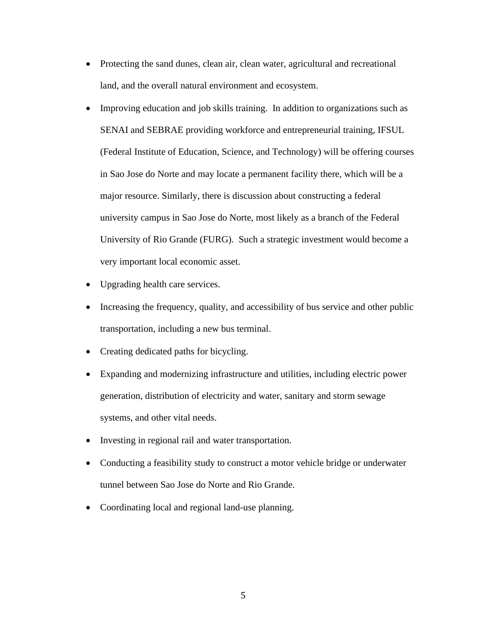- Protecting the sand dunes, clean air, clean water, agricultural and recreational land, and the overall natural environment and ecosystem.
- Improving education and job skills training. In addition to organizations such as SENAI and SEBRAE providing workforce and entrepreneurial training, IFSUL (Federal Institute of Education, Science, and Technology) will be offering courses in Sao Jose do Norte and may locate a permanent facility there, which will be a major resource. Similarly, there is discussion about constructing a federal university campus in Sao Jose do Norte, most likely as a branch of the Federal University of Rio Grande (FURG). Such a strategic investment would become a very important local economic asset.
- Upgrading health care services.
- Increasing the frequency, quality, and accessibility of bus service and other public transportation, including a new bus terminal.
- Creating dedicated paths for bicycling.
- Expanding and modernizing infrastructure and utilities, including electric power generation, distribution of electricity and water, sanitary and storm sewage systems, and other vital needs.
- Investing in regional rail and water transportation.
- Conducting a feasibility study to construct a motor vehicle bridge or underwater tunnel between Sao Jose do Norte and Rio Grande.
- Coordinating local and regional land-use planning.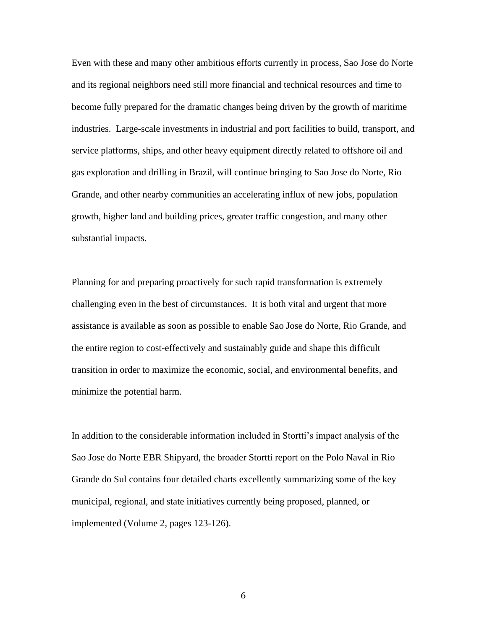Even with these and many other ambitious efforts currently in process, Sao Jose do Norte and its regional neighbors need still more financial and technical resources and time to become fully prepared for the dramatic changes being driven by the growth of maritime industries. Large-scale investments in industrial and port facilities to build, transport, and service platforms, ships, and other heavy equipment directly related to offshore oil and gas exploration and drilling in Brazil, will continue bringing to Sao Jose do Norte, Rio Grande, and other nearby communities an accelerating influx of new jobs, population growth, higher land and building prices, greater traffic congestion, and many other substantial impacts.

Planning for and preparing proactively for such rapid transformation is extremely challenging even in the best of circumstances. It is both vital and urgent that more assistance is available as soon as possible to enable Sao Jose do Norte, Rio Grande, and the entire region to cost-effectively and sustainably guide and shape this difficult transition in order to maximize the economic, social, and environmental benefits, and minimize the potential harm.

In addition to the considerable information included in Stortti's impact analysis of the Sao Jose do Norte EBR Shipyard, the broader Stortti report on the Polo Naval in Rio Grande do Sul contains four detailed charts excellently summarizing some of the key municipal, regional, and state initiatives currently being proposed, planned, or implemented (Volume 2, pages 123-126).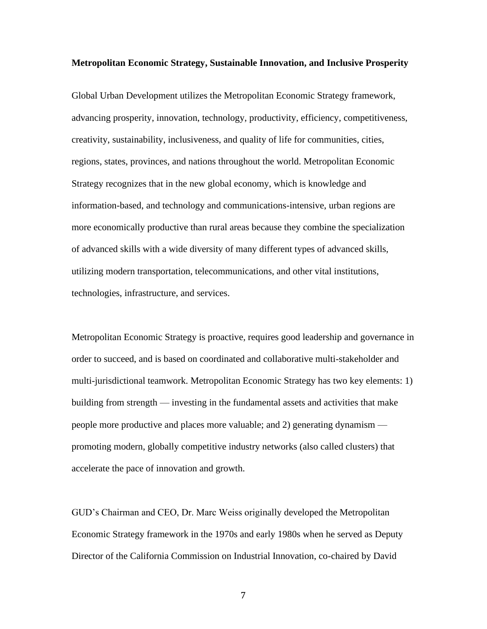#### **Metropolitan Economic Strategy, Sustainable Innovation, and Inclusive Prosperity**

Global Urban Development utilizes the Metropolitan Economic Strategy framework, advancing prosperity, innovation, technology, productivity, efficiency, competitiveness, creativity, sustainability, inclusiveness, and quality of life for communities, cities, regions, states, provinces, and nations throughout the world. Metropolitan Economic Strategy recognizes that in the new global economy, which is knowledge and information-based, and technology and communications-intensive, urban regions are more economically productive than rural areas because they combine the specialization of advanced skills with a wide diversity of many different types of advanced skills, utilizing modern transportation, telecommunications, and other vital institutions, technologies, infrastructure, and services.

Metropolitan Economic Strategy is proactive, requires good leadership and governance in order to succeed, and is based on coordinated and collaborative multi-stakeholder and multi-jurisdictional teamwork. Metropolitan Economic Strategy has two key elements: 1) building from strength — investing in the fundamental assets and activities that make people more productive and places more valuable; and 2) generating dynamism promoting modern, globally competitive industry networks (also called clusters) that accelerate the pace of innovation and growth.

GUD's Chairman and CEO, Dr. Marc Weiss originally developed the Metropolitan Economic Strategy framework in the 1970s and early 1980s when he served as Deputy Director of the California Commission on Industrial Innovation, co-chaired by David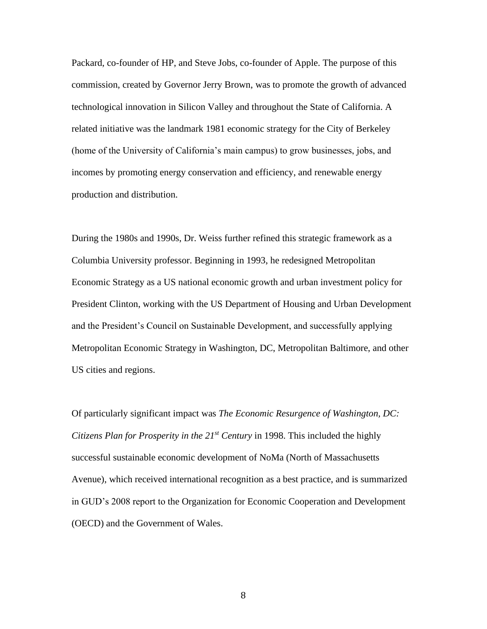Packard, co-founder of HP, and Steve Jobs, co-founder of Apple. The purpose of this commission, created by Governor Jerry Brown, was to promote the growth of advanced technological innovation in Silicon Valley and throughout the State of California. A related initiative was the landmark 1981 economic strategy for the City of Berkeley (home of the University of California's main campus) to grow businesses, jobs, and incomes by promoting energy conservation and efficiency, and renewable energy production and distribution.

During the 1980s and 1990s, Dr. Weiss further refined this strategic framework as a Columbia University professor. Beginning in 1993, he redesigned Metropolitan Economic Strategy as a US national economic growth and urban investment policy for President Clinton, working with the US Department of Housing and Urban Development and the President's Council on Sustainable Development, and successfully applying Metropolitan Economic Strategy in Washington, DC, Metropolitan Baltimore, and other US cities and regions.

Of particularly significant impact was *The Economic Resurgence of Washington, DC: Citizens Plan for Prosperity in the 21st Century* in 1998. This included the highly successful sustainable economic development of NoMa (North of Massachusetts Avenue), which received international recognition as a best practice, and is summarized in GUD's 2008 report to the Organization for Economic Cooperation and Development (OECD) and the Government of Wales.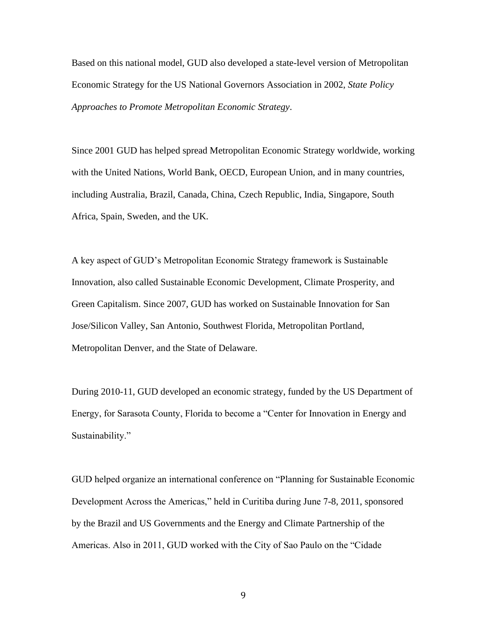Based on this national model, GUD also developed a state-level version of Metropolitan Economic Strategy for the US National Governors Association in 2002, *State Policy Approaches to Promote Metropolitan Economic Strategy*.

Since 2001 GUD has helped spread Metropolitan Economic Strategy worldwide, working with the United Nations, World Bank, OECD, European Union, and in many countries, including Australia, Brazil, Canada, China, Czech Republic, India, Singapore, South Africa, Spain, Sweden, and the UK.

A key aspect of GUD's Metropolitan Economic Strategy framework is Sustainable Innovation, also called Sustainable Economic Development, Climate Prosperity, and Green Capitalism. Since 2007, GUD has worked on Sustainable Innovation for San Jose/Silicon Valley, San Antonio, Southwest Florida, Metropolitan Portland, Metropolitan Denver, and the State of Delaware.

During 2010-11, GUD developed an economic strategy, funded by the US Department of Energy, for Sarasota County, Florida to become a "Center for Innovation in Energy and Sustainability."

GUD helped organize an international conference on "Planning for Sustainable Economic Development Across the Americas," held in Curitiba during June 7-8, 2011, sponsored by the Brazil and US Governments and the Energy and Climate Partnership of the Americas. Also in 2011, GUD worked with the City of Sao Paulo on the "Cidade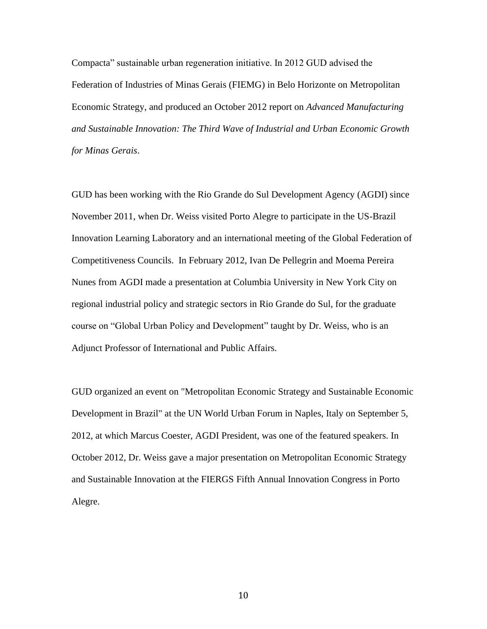Compacta" sustainable urban regeneration initiative. In 2012 GUD advised the Federation of Industries of Minas Gerais (FIEMG) in Belo Horizonte on Metropolitan Economic Strategy, and produced an October 2012 report on *Advanced Manufacturing and Sustainable Innovation: The Third Wave of Industrial and Urban Economic Growth for Minas Gerais*.

GUD has been working with the Rio Grande do Sul Development Agency (AGDI) since November 2011, when Dr. Weiss visited Porto Alegre to participate in the US-Brazil Innovation Learning Laboratory and an international meeting of the Global Federation of Competitiveness Councils. In February 2012, Ivan De Pellegrin and Moema Pereira Nunes from AGDI made a presentation at Columbia University in New York City on regional industrial policy and strategic sectors in Rio Grande do Sul, for the graduate course on "Global Urban Policy and Development" taught by Dr. Weiss, who is an Adjunct Professor of International and Public Affairs.

GUD organized an event on "Metropolitan Economic Strategy and Sustainable Economic Development in Brazil" at the UN World Urban Forum in Naples, Italy on September 5, 2012, at which Marcus Coester, AGDI President, was one of the featured speakers. In October 2012, Dr. Weiss gave a major presentation on Metropolitan Economic Strategy and Sustainable Innovation at the FIERGS Fifth Annual Innovation Congress in Porto Alegre.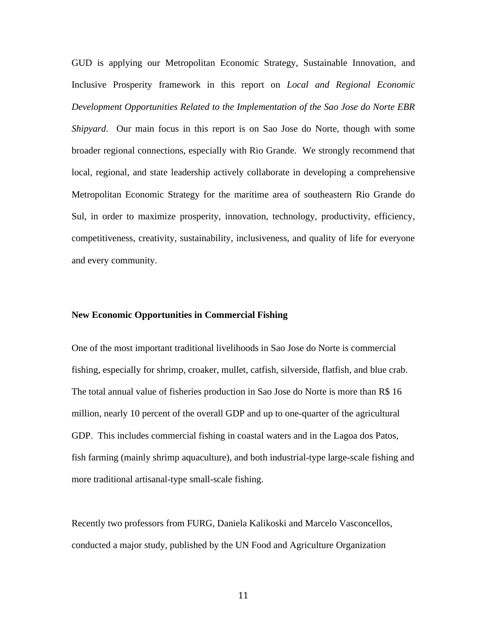GUD is applying our Metropolitan Economic Strategy, Sustainable Innovation, and Inclusive Prosperity framework in this report on *Local and Regional Economic Development Opportunities Related to the Implementation of the Sao Jose do Norte EBR Shipyard*. Our main focus in this report is on Sao Jose do Norte, though with some broader regional connections, especially with Rio Grande. We strongly recommend that local, regional, and state leadership actively collaborate in developing a comprehensive Metropolitan Economic Strategy for the maritime area of southeastern Rio Grande do Sul, in order to maximize prosperity, innovation, technology, productivity, efficiency, competitiveness, creativity, sustainability, inclusiveness, and quality of life for everyone and every community.

#### **New Economic Opportunities in Commercial Fishing**

One of the most important traditional livelihoods in Sao Jose do Norte is commercial fishing, especially for shrimp, croaker, mullet, catfish, silverside, flatfish, and blue crab. The total annual value of fisheries production in Sao Jose do Norte is more than R\$ 16 million, nearly 10 percent of the overall GDP and up to one-quarter of the agricultural GDP. This includes commercial fishing in coastal waters and in the Lagoa dos Patos, fish farming (mainly shrimp aquaculture), and both industrial-type large-scale fishing and more traditional artisanal-type small-scale fishing.

Recently two professors from FURG, Daniela Kalikoski and Marcelo Vasconcellos, conducted a major study, published by the UN Food and Agriculture Organization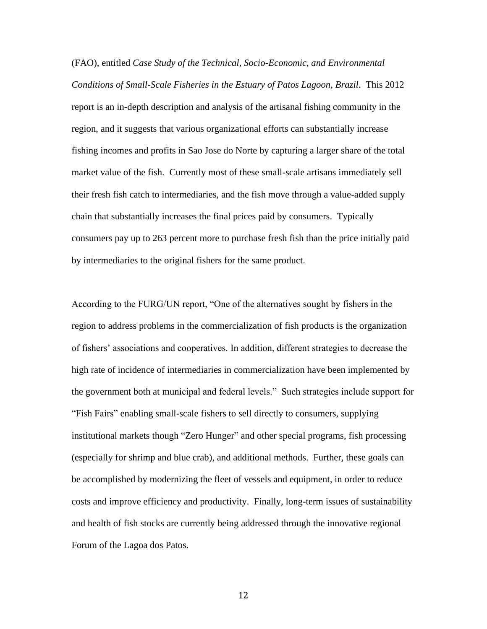(FAO), entitled *Case Study of the Technical, Socio-Economic, and Environmental Conditions of Small-Scale Fisheries in the Estuary of Patos Lagoon, Brazil*. This 2012 report is an in-depth description and analysis of the artisanal fishing community in the region, and it suggests that various organizational efforts can substantially increase fishing incomes and profits in Sao Jose do Norte by capturing a larger share of the total market value of the fish. Currently most of these small-scale artisans immediately sell their fresh fish catch to intermediaries, and the fish move through a value-added supply chain that substantially increases the final prices paid by consumers. Typically consumers pay up to 263 percent more to purchase fresh fish than the price initially paid by intermediaries to the original fishers for the same product.

According to the FURG/UN report, "One of the alternatives sought by fishers in the region to address problems in the commercialization of fish products is the organization of fishers' associations and cooperatives. In addition, different strategies to decrease the high rate of incidence of intermediaries in commercialization have been implemented by the government both at municipal and federal levels." Such strategies include support for "Fish Fairs" enabling small-scale fishers to sell directly to consumers, supplying institutional markets though "Zero Hunger" and other special programs, fish processing (especially for shrimp and blue crab), and additional methods. Further, these goals can be accomplished by modernizing the fleet of vessels and equipment, in order to reduce costs and improve efficiency and productivity. Finally, long-term issues of sustainability and health of fish stocks are currently being addressed through the innovative regional Forum of the Lagoa dos Patos.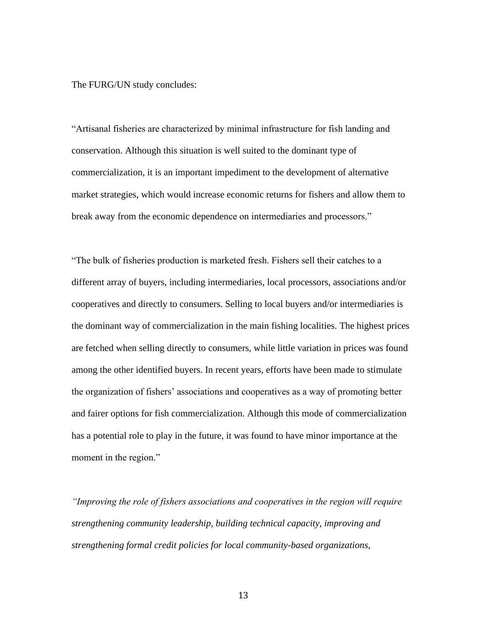The FURG/UN study concludes:

"Artisanal fisheries are characterized by minimal infrastructure for fish landing and conservation. Although this situation is well suited to the dominant type of commercialization, it is an important impediment to the development of alternative market strategies, which would increase economic returns for fishers and allow them to break away from the economic dependence on intermediaries and processors."

"The bulk of fisheries production is marketed fresh. Fishers sell their catches to a different array of buyers, including intermediaries, local processors, associations and/or cooperatives and directly to consumers. Selling to local buyers and/or intermediaries is the dominant way of commercialization in the main fishing localities. The highest prices are fetched when selling directly to consumers, while little variation in prices was found among the other identified buyers. In recent years, efforts have been made to stimulate the organization of fishers' associations and cooperatives as a way of promoting better and fairer options for fish commercialization. Although this mode of commercialization has a potential role to play in the future, it was found to have minor importance at the moment in the region."

*"Improving the role of fishers associations and cooperatives in the region will require strengthening community leadership, building technical capacity, improving and strengthening formal credit policies for local community-based organizations,*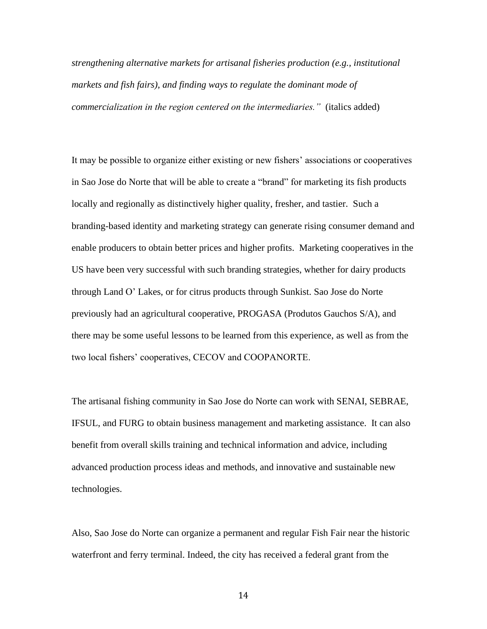*strengthening alternative markets for artisanal fisheries production (e.g., institutional markets and fish fairs), and finding ways to regulate the dominant mode of commercialization in the region centered on the intermediaries."* (italics added)

It may be possible to organize either existing or new fishers' associations or cooperatives in Sao Jose do Norte that will be able to create a "brand" for marketing its fish products locally and regionally as distinctively higher quality, fresher, and tastier. Such a branding-based identity and marketing strategy can generate rising consumer demand and enable producers to obtain better prices and higher profits. Marketing cooperatives in the US have been very successful with such branding strategies, whether for dairy products through Land O' Lakes, or for citrus products through Sunkist. Sao Jose do Norte previously had an agricultural cooperative, PROGASA (Produtos Gauchos S/A), and there may be some useful lessons to be learned from this experience, as well as from the two local fishers' cooperatives, CECOV and COOPANORTE.

The artisanal fishing community in Sao Jose do Norte can work with SENAI, SEBRAE, IFSUL, and FURG to obtain business management and marketing assistance. It can also benefit from overall skills training and technical information and advice, including advanced production process ideas and methods, and innovative and sustainable new technologies.

Also, Sao Jose do Norte can organize a permanent and regular Fish Fair near the historic waterfront and ferry terminal. Indeed, the city has received a federal grant from the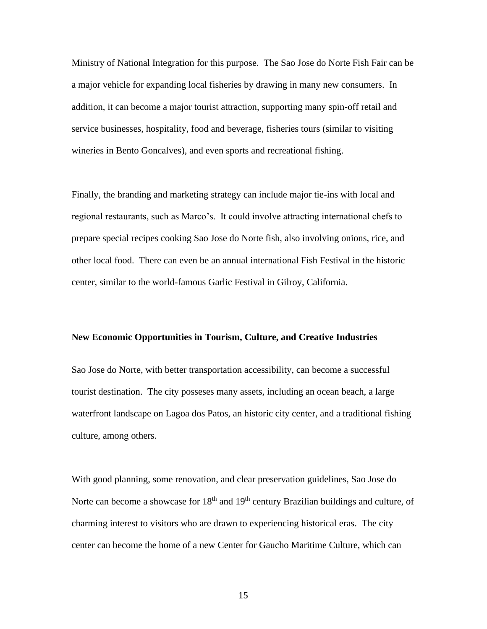Ministry of National Integration for this purpose. The Sao Jose do Norte Fish Fair can be a major vehicle for expanding local fisheries by drawing in many new consumers. In addition, it can become a major tourist attraction, supporting many spin-off retail and service businesses, hospitality, food and beverage, fisheries tours (similar to visiting wineries in Bento Goncalves), and even sports and recreational fishing.

Finally, the branding and marketing strategy can include major tie-ins with local and regional restaurants, such as Marco's. It could involve attracting international chefs to prepare special recipes cooking Sao Jose do Norte fish, also involving onions, rice, and other local food. There can even be an annual international Fish Festival in the historic center, similar to the world-famous Garlic Festival in Gilroy, California.

#### **New Economic Opportunities in Tourism, Culture, and Creative Industries**

Sao Jose do Norte, with better transportation accessibility, can become a successful tourist destination. The city posseses many assets, including an ocean beach, a large waterfront landscape on Lagoa dos Patos, an historic city center, and a traditional fishing culture, among others.

With good planning, some renovation, and clear preservation guidelines, Sao Jose do Norte can become a showcase for  $18<sup>th</sup>$  and  $19<sup>th</sup>$  century Brazilian buildings and culture, of charming interest to visitors who are drawn to experiencing historical eras. The city center can become the home of a new Center for Gaucho Maritime Culture, which can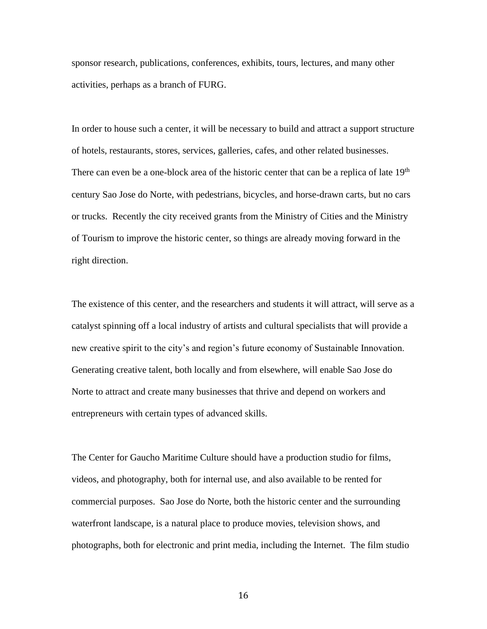sponsor research, publications, conferences, exhibits, tours, lectures, and many other activities, perhaps as a branch of FURG.

In order to house such a center, it will be necessary to build and attract a support structure of hotels, restaurants, stores, services, galleries, cafes, and other related businesses. There can even be a one-block area of the historic center that can be a replica of late  $19<sup>th</sup>$ century Sao Jose do Norte, with pedestrians, bicycles, and horse-drawn carts, but no cars or trucks. Recently the city received grants from the Ministry of Cities and the Ministry of Tourism to improve the historic center, so things are already moving forward in the right direction.

The existence of this center, and the researchers and students it will attract, will serve as a catalyst spinning off a local industry of artists and cultural specialists that will provide a new creative spirit to the city's and region's future economy of Sustainable Innovation. Generating creative talent, both locally and from elsewhere, will enable Sao Jose do Norte to attract and create many businesses that thrive and depend on workers and entrepreneurs with certain types of advanced skills.

The Center for Gaucho Maritime Culture should have a production studio for films, videos, and photography, both for internal use, and also available to be rented for commercial purposes. Sao Jose do Norte, both the historic center and the surrounding waterfront landscape, is a natural place to produce movies, television shows, and photographs, both for electronic and print media, including the Internet. The film studio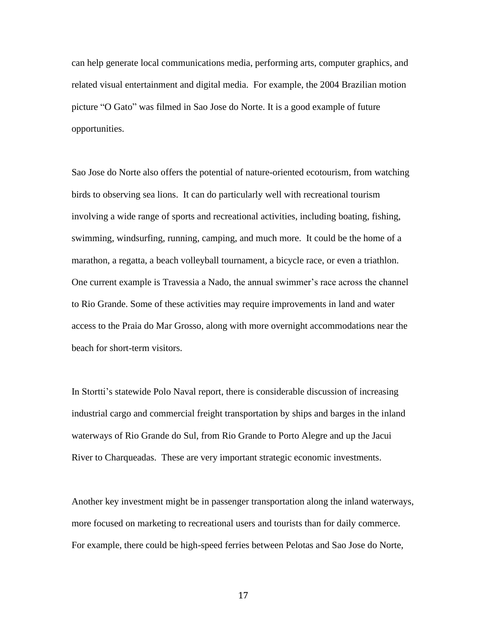can help generate local communications media, performing arts, computer graphics, and related visual entertainment and digital media. For example, the 2004 Brazilian motion picture "O Gato" was filmed in Sao Jose do Norte. It is a good example of future opportunities.

Sao Jose do Norte also offers the potential of nature-oriented ecotourism, from watching birds to observing sea lions. It can do particularly well with recreational tourism involving a wide range of sports and recreational activities, including boating, fishing, swimming, windsurfing, running, camping, and much more. It could be the home of a marathon, a regatta, a beach volleyball tournament, a bicycle race, or even a triathlon. One current example is Travessia a Nado, the annual swimmer's race across the channel to Rio Grande. Some of these activities may require improvements in land and water access to the Praia do Mar Grosso, along with more overnight accommodations near the beach for short-term visitors.

In Stortti's statewide Polo Naval report, there is considerable discussion of increasing industrial cargo and commercial freight transportation by ships and barges in the inland waterways of Rio Grande do Sul, from Rio Grande to Porto Alegre and up the Jacui River to Charqueadas. These are very important strategic economic investments.

Another key investment might be in passenger transportation along the inland waterways, more focused on marketing to recreational users and tourists than for daily commerce. For example, there could be high-speed ferries between Pelotas and Sao Jose do Norte,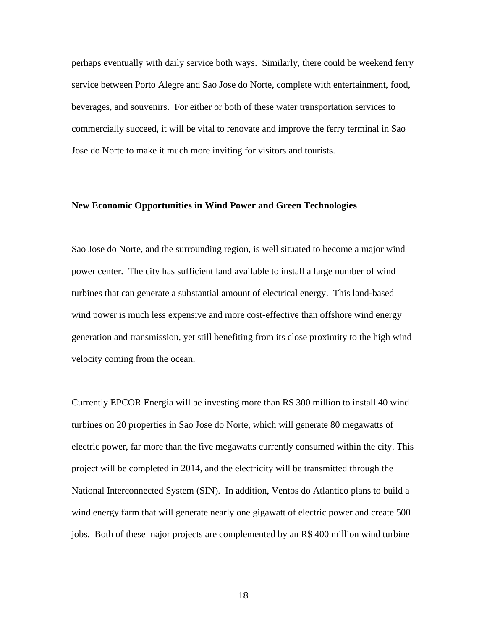perhaps eventually with daily service both ways. Similarly, there could be weekend ferry service between Porto Alegre and Sao Jose do Norte, complete with entertainment, food, beverages, and souvenirs. For either or both of these water transportation services to commercially succeed, it will be vital to renovate and improve the ferry terminal in Sao Jose do Norte to make it much more inviting for visitors and tourists.

#### **New Economic Opportunities in Wind Power and Green Technologies**

Sao Jose do Norte, and the surrounding region, is well situated to become a major wind power center. The city has sufficient land available to install a large number of wind turbines that can generate a substantial amount of electrical energy. This land-based wind power is much less expensive and more cost-effective than offshore wind energy generation and transmission, yet still benefiting from its close proximity to the high wind velocity coming from the ocean.

Currently EPCOR Energia will be investing more than R\$ 300 million to install 40 wind turbines on 20 properties in Sao Jose do Norte, which will generate 80 megawatts of electric power, far more than the five megawatts currently consumed within the city. This project will be completed in 2014, and the electricity will be transmitted through the National Interconnected System (SIN). In addition, Ventos do Atlantico plans to build a wind energy farm that will generate nearly one gigawatt of electric power and create 500 jobs. Both of these major projects are complemented by an R\$ 400 million wind turbine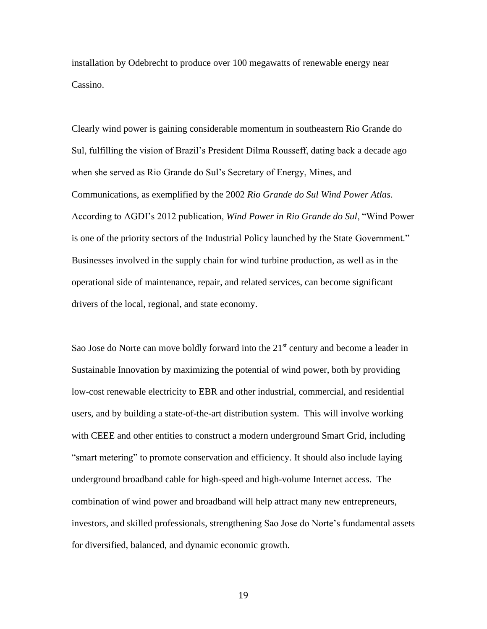installation by Odebrecht to produce over 100 megawatts of renewable energy near Cassino.

Clearly wind power is gaining considerable momentum in southeastern Rio Grande do Sul, fulfilling the vision of Brazil's President Dilma Rousseff, dating back a decade ago when she served as Rio Grande do Sul's Secretary of Energy, Mines, and Communications, as exemplified by the 2002 *Rio Grande do Sul Wind Power Atlas*. According to AGDI's 2012 publication, *Wind Power in Rio Grande do Sul*, "Wind Power is one of the priority sectors of the Industrial Policy launched by the State Government." Businesses involved in the supply chain for wind turbine production, as well as in the operational side of maintenance, repair, and related services, can become significant drivers of the local, regional, and state economy.

Sao Jose do Norte can move boldly forward into the  $21<sup>st</sup>$  century and become a leader in Sustainable Innovation by maximizing the potential of wind power, both by providing low-cost renewable electricity to EBR and other industrial, commercial, and residential users, and by building a state-of-the-art distribution system. This will involve working with CEEE and other entities to construct a modern underground Smart Grid, including "smart metering" to promote conservation and efficiency. It should also include laying underground broadband cable for high-speed and high-volume Internet access. The combination of wind power and broadband will help attract many new entrepreneurs, investors, and skilled professionals, strengthening Sao Jose do Norte's fundamental assets for diversified, balanced, and dynamic economic growth.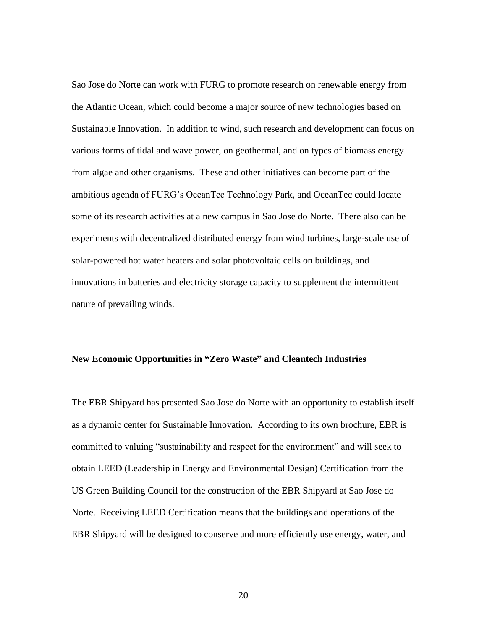Sao Jose do Norte can work with FURG to promote research on renewable energy from the Atlantic Ocean, which could become a major source of new technologies based on Sustainable Innovation. In addition to wind, such research and development can focus on various forms of tidal and wave power, on geothermal, and on types of biomass energy from algae and other organisms. These and other initiatives can become part of the ambitious agenda of FURG's OceanTec Technology Park, and OceanTec could locate some of its research activities at a new campus in Sao Jose do Norte. There also can be experiments with decentralized distributed energy from wind turbines, large-scale use of solar-powered hot water heaters and solar photovoltaic cells on buildings, and innovations in batteries and electricity storage capacity to supplement the intermittent nature of prevailing winds.

#### **New Economic Opportunities in "Zero Waste" and Cleantech Industries**

The EBR Shipyard has presented Sao Jose do Norte with an opportunity to establish itself as a dynamic center for Sustainable Innovation. According to its own brochure, EBR is committed to valuing "sustainability and respect for the environment" and will seek to obtain LEED (Leadership in Energy and Environmental Design) Certification from the US Green Building Council for the construction of the EBR Shipyard at Sao Jose do Norte. Receiving LEED Certification means that the buildings and operations of the EBR Shipyard will be designed to conserve and more efficiently use energy, water, and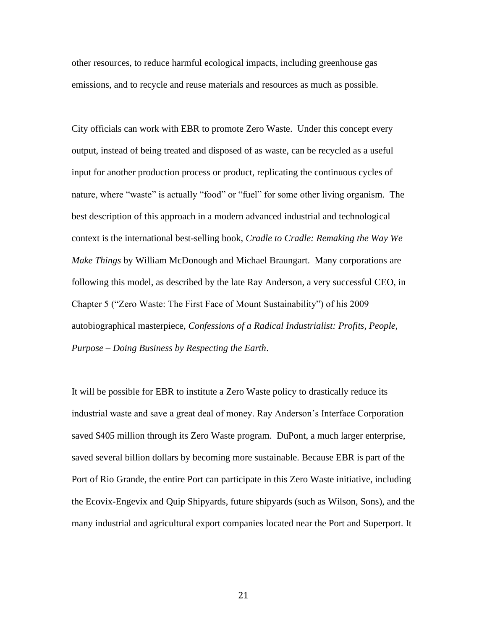other resources, to reduce harmful ecological impacts, including greenhouse gas emissions, and to recycle and reuse materials and resources as much as possible.

City officials can work with EBR to promote Zero Waste. Under this concept every output, instead of being treated and disposed of as waste, can be recycled as a useful input for another production process or product, replicating the continuous cycles of nature, where "waste" is actually "food" or "fuel" for some other living organism. The best description of this approach in a modern advanced industrial and technological context is the international best-selling book, *Cradle to Cradle: Remaking the Way We Make Things* by William McDonough and Michael Braungart. Many corporations are following this model, as described by the late Ray Anderson, a very successful CEO, in Chapter 5 ("Zero Waste: The First Face of Mount Sustainability") of his 2009 autobiographical masterpiece, *Confessions of a Radical Industrialist: Profits, People, Purpose – Doing Business by Respecting the Earth*.

It will be possible for EBR to institute a Zero Waste policy to drastically reduce its industrial waste and save a great deal of money. Ray Anderson's Interface Corporation saved \$405 million through its Zero Waste program. DuPont, a much larger enterprise, saved several billion dollars by becoming more sustainable. Because EBR is part of the Port of Rio Grande, the entire Port can participate in this Zero Waste initiative, including the Ecovix-Engevix and Quip Shipyards, future shipyards (such as Wilson, Sons), and the many industrial and agricultural export companies located near the Port and Superport. It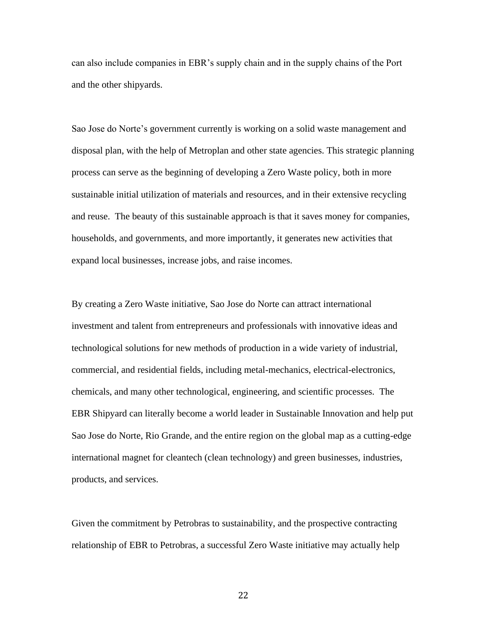can also include companies in EBR's supply chain and in the supply chains of the Port and the other shipyards.

Sao Jose do Norte's government currently is working on a solid waste management and disposal plan, with the help of Metroplan and other state agencies. This strategic planning process can serve as the beginning of developing a Zero Waste policy, both in more sustainable initial utilization of materials and resources, and in their extensive recycling and reuse. The beauty of this sustainable approach is that it saves money for companies, households, and governments, and more importantly, it generates new activities that expand local businesses, increase jobs, and raise incomes.

By creating a Zero Waste initiative, Sao Jose do Norte can attract international investment and talent from entrepreneurs and professionals with innovative ideas and technological solutions for new methods of production in a wide variety of industrial, commercial, and residential fields, including metal-mechanics, electrical-electronics, chemicals, and many other technological, engineering, and scientific processes. The EBR Shipyard can literally become a world leader in Sustainable Innovation and help put Sao Jose do Norte, Rio Grande, and the entire region on the global map as a cutting-edge international magnet for cleantech (clean technology) and green businesses, industries, products, and services.

Given the commitment by Petrobras to sustainability, and the prospective contracting relationship of EBR to Petrobras, a successful Zero Waste initiative may actually help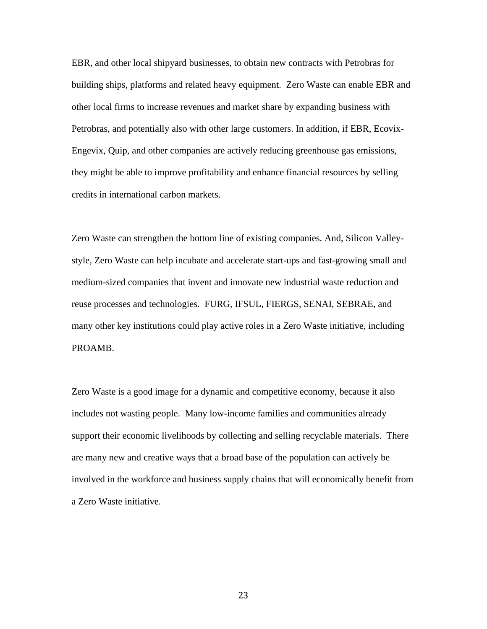EBR, and other local shipyard businesses, to obtain new contracts with Petrobras for building ships, platforms and related heavy equipment. Zero Waste can enable EBR and other local firms to increase revenues and market share by expanding business with Petrobras, and potentially also with other large customers. In addition, if EBR, Ecovix-Engevix, Quip, and other companies are actively reducing greenhouse gas emissions, they might be able to improve profitability and enhance financial resources by selling credits in international carbon markets.

Zero Waste can strengthen the bottom line of existing companies. And, Silicon Valleystyle, Zero Waste can help incubate and accelerate start-ups and fast-growing small and medium-sized companies that invent and innovate new industrial waste reduction and reuse processes and technologies. FURG, IFSUL, FIERGS, SENAI, SEBRAE, and many other key institutions could play active roles in a Zero Waste initiative, including PROAMB.

Zero Waste is a good image for a dynamic and competitive economy, because it also includes not wasting people. Many low-income families and communities already support their economic livelihoods by collecting and selling recyclable materials. There are many new and creative ways that a broad base of the population can actively be involved in the workforce and business supply chains that will economically benefit from a Zero Waste initiative.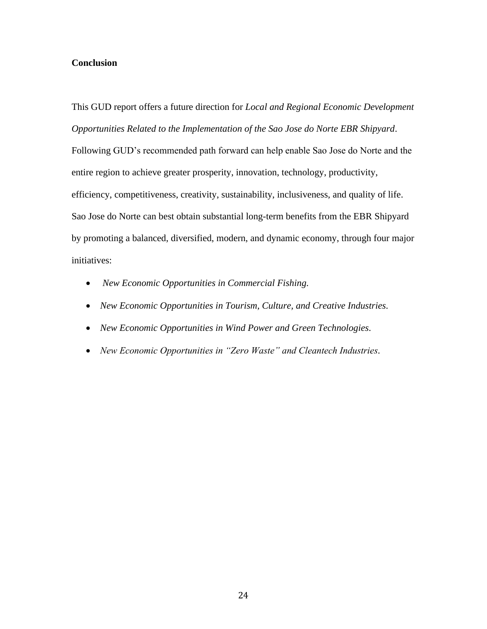## **Conclusion**

This GUD report offers a future direction for *Local and Regional Economic Development Opportunities Related to the Implementation of the Sao Jose do Norte EBR Shipyard*. Following GUD's recommended path forward can help enable Sao Jose do Norte and the entire region to achieve greater prosperity, innovation, technology, productivity, efficiency, competitiveness, creativity, sustainability, inclusiveness, and quality of life. Sao Jose do Norte can best obtain substantial long-term benefits from the EBR Shipyard by promoting a balanced, diversified, modern, and dynamic economy, through four major initiatives:

- *New Economic Opportunities in Commercial Fishing.*
- *New Economic Opportunities in Tourism, Culture, and Creative Industries.*
- *New Economic Opportunities in Wind Power and Green Technologies.*
- *New Economic Opportunities in "Zero Waste" and Cleantech Industries.*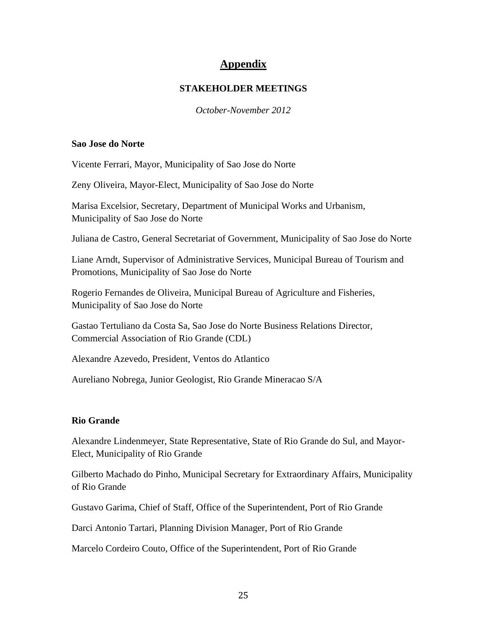# **Appendix**

## **STAKEHOLDER MEETINGS**

*October-November 2012*

### **Sao Jose do Norte**

Vicente Ferrari, Mayor, Municipality of Sao Jose do Norte

Zeny Oliveira, Mayor-Elect, Municipality of Sao Jose do Norte

Marisa Excelsior, Secretary, Department of Municipal Works and Urbanism, Municipality of Sao Jose do Norte

Juliana de Castro, General Secretariat of Government, Municipality of Sao Jose do Norte

Liane Arndt, Supervisor of Administrative Services, Municipal Bureau of Tourism and Promotions, Municipality of Sao Jose do Norte

Rogerio Fernandes de Oliveira, Municipal Bureau of Agriculture and Fisheries, Municipality of Sao Jose do Norte

Gastao Tertuliano da Costa Sa, Sao Jose do Norte Business Relations Director, Commercial Association of Rio Grande (CDL)

Alexandre Azevedo, President, Ventos do Atlantico

Aureliano Nobrega, Junior Geologist, Rio Grande Mineracao S/A

# **Rio Grande**

Alexandre Lindenmeyer, State Representative, State of Rio Grande do Sul, and Mayor-Elect, Municipality of Rio Grande

Gilberto Machado do Pinho, Municipal Secretary for Extraordinary Affairs, Municipality of Rio Grande

Gustavo Garima, Chief of Staff, Office of the Superintendent, Port of Rio Grande

Darci Antonio Tartari, Planning Division Manager, Port of Rio Grande

Marcelo Cordeiro Couto, Office of the Superintendent, Port of Rio Grande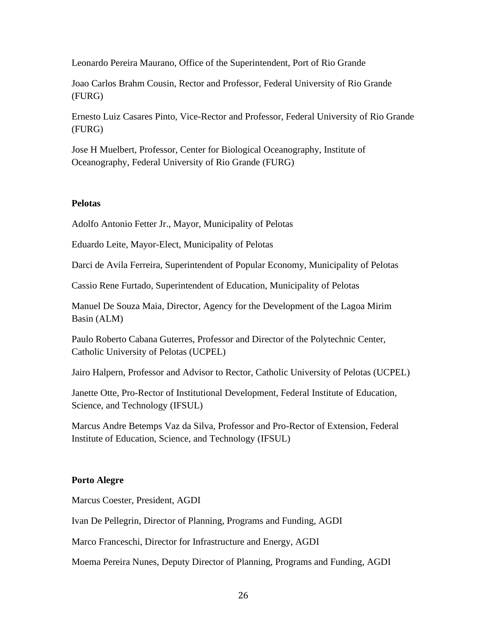Leonardo Pereira Maurano, Office of the Superintendent, Port of Rio Grande

Joao Carlos Brahm Cousin, Rector and Professor, Federal University of Rio Grande (FURG)

Ernesto Luiz Casares Pinto, Vice-Rector and Professor, Federal University of Rio Grande (FURG)

Jose H Muelbert, Professor, Center for Biological Oceanography, Institute of Oceanography, Federal University of Rio Grande (FURG)

## **Pelotas**

Adolfo Antonio Fetter Jr., Mayor, Municipality of Pelotas

Eduardo Leite, Mayor-Elect, Municipality of Pelotas

Darci de Avila Ferreira, Superintendent of Popular Economy, Municipality of Pelotas

Cassio Rene Furtado, Superintendent of Education, Municipality of Pelotas

Manuel De Souza Maia, Director, Agency for the Development of the Lagoa Mirim Basin (ALM)

Paulo Roberto Cabana Guterres, Professor and Director of the Polytechnic Center, Catholic University of Pelotas (UCPEL)

Jairo Halpern, Professor and Advisor to Rector, Catholic University of Pelotas (UCPEL)

Janette Otte, Pro-Rector of Institutional Development, Federal Institute of Education, Science, and Technology (IFSUL)

Marcus Andre Betemps Vaz da Silva, Professor and Pro-Rector of Extension, Federal Institute of Education, Science, and Technology (IFSUL)

# **Porto Alegre**

Marcus Coester, President, AGDI

Ivan De Pellegrin, Director of Planning, Programs and Funding, AGDI

Marco Franceschi, Director for Infrastructure and Energy, AGDI

Moema Pereira Nunes, Deputy Director of Planning, Programs and Funding, AGDI